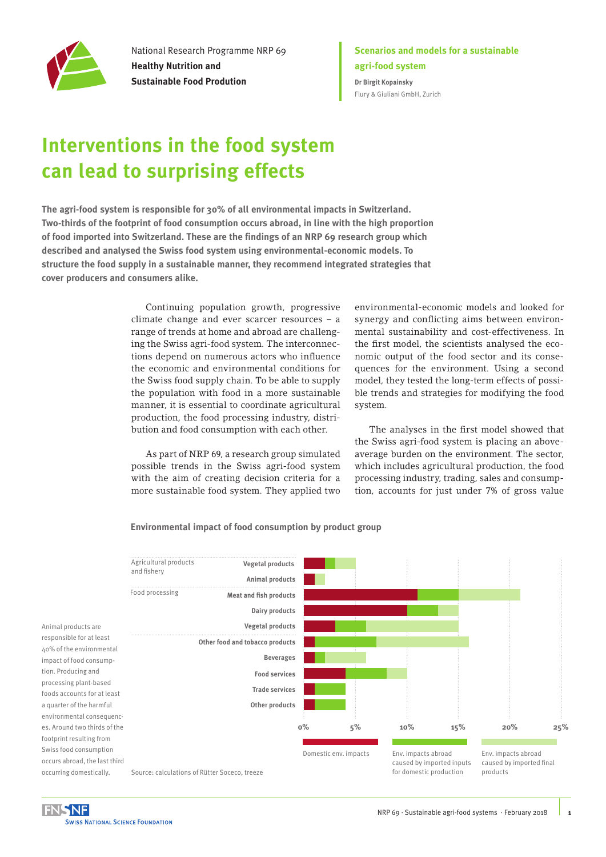

National Research Programme NRP 69 **Healthy Nutrition and Sustainable Food Prodution**

### **Scenarios and models for a sustainable agri-food system Dr Birgit Kopainsky** [Flury & Giuliani GmbH, Zurich](https://flury-giuliani.ch/)

# **Interventions in the food system can lead to surprising effects**

**The agri-food system is responsible for 30% of all environmental impacts in Switzerland. Two-thirds of the footprint of food consumption occurs abroad, in line with the high proportion of food imported into Switzerland. These are the findings of an NRP 69 research group which described and analysed the Swiss food system using environmental-economic models. To structure the food supply in a sustainable manner, they recommend integrated strategies that cover producers and consumers alike.** 

> Continuing population growth, progressive climate change and ever scarcer resources – a range of trends at home and abroad are challenging the Swiss agri-food system. The interconnections depend on numerous actors who influence the economic and environmental conditions for the Swiss food supply chain. To be able to supply the population with food in a more sustainable manner, it is essential to coordinate agricultural production, the food processing industry, distribution and food consumption with each other.

> As part of NRP 69, a research group simulated possible trends in the Swiss agri-food system with the aim of creating decision criteria for a more sustainable food system. They applied two

environmental-economic models and looked for synergy and conflicting aims between environmental sustainability and cost-effectiveness. In the first model, the scientists analysed the economic output of the food sector and its consequences for the environment. Using a second model, they tested the long-term effects of possible trends and strategies for modifying the food system.

The analyses in the first model showed that the Swiss agri-food system is placing an aboveaverage burden on the environment. The sector, which includes agricultural production, the food processing industry, trading, sales and consumption, accounts for just under 7% of gross value

#### **Environmental impact of food consumption by product group**